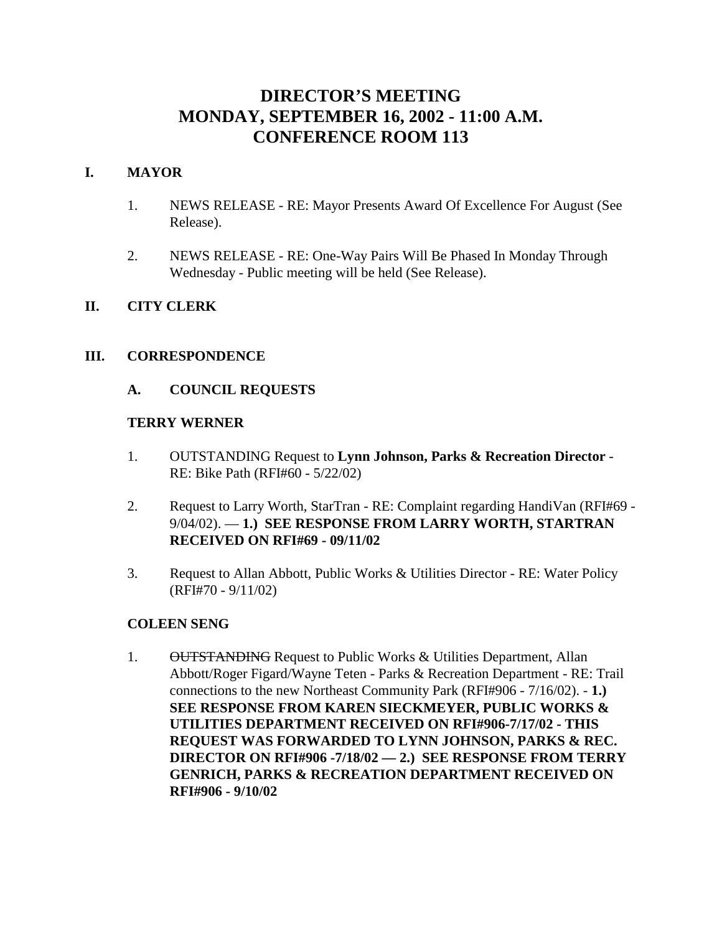# **DIRECTOR'S MEETING MONDAY, SEPTEMBER 16, 2002 - 11:00 A.M. CONFERENCE ROOM 113**

### **I. MAYOR**

- 1. NEWS RELEASE RE: Mayor Presents Award Of Excellence For August (See Release).
- 2. NEWS RELEASE RE: One-Way Pairs Will Be Phased In Monday Through Wednesday - Public meeting will be held (See Release).

### **II. CITY CLERK**

#### **III. CORRESPONDENCE**

#### **A. COUNCIL REQUESTS**

#### **TERRY WERNER**

- 1. OUTSTANDING Request to **Lynn Johnson, Parks & Recreation Director** RE: Bike Path (RFI#60 - 5/22/02)
- 2. Request to Larry Worth, StarTran RE: Complaint regarding HandiVan (RFI#69 9/04/02). — **1.) SEE RESPONSE FROM LARRY WORTH, STARTRAN RECEIVED ON RFI#69 - 09/11/02**
- 3. Request to Allan Abbott, Public Works & Utilities Director RE: Water Policy (RFI#70 - 9/11/02)

#### **COLEEN SENG**

1. OUTSTANDING Request to Public Works & Utilities Department, Allan Abbott/Roger Figard/Wayne Teten - Parks & Recreation Department - RE: Trail connections to the new Northeast Community Park (RFI#906 - 7/16/02). - **1.) SEE RESPONSE FROM KAREN SIECKMEYER, PUBLIC WORKS & UTILITIES DEPARTMENT RECEIVED ON RFI#906-7/17/02 - THIS REQUEST WAS FORWARDED TO LYNN JOHNSON, PARKS & REC. DIRECTOR ON RFI#906 -7/18/02 — 2.) SEE RESPONSE FROM TERRY GENRICH, PARKS & RECREATION DEPARTMENT RECEIVED ON RFI#906 - 9/10/02**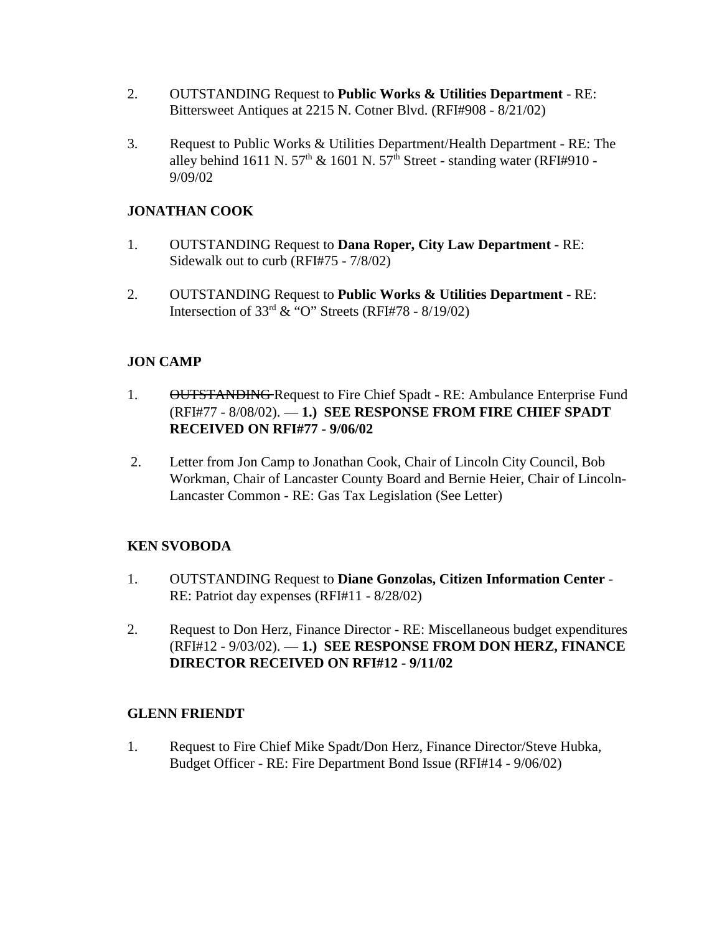- 2. OUTSTANDING Request to **Public Works & Utilities Department** RE: Bittersweet Antiques at 2215 N. Cotner Blvd. (RFI#908 - 8/21/02)
- 3. Request to Public Works & Utilities Department/Health Department RE: The alley behind 1611 N. 57<sup>th</sup> & 1601 N. 57<sup>th</sup> Street - standing water (RFI#910 -9/09/02

### **JONATHAN COOK**

- 1. OUTSTANDING Request to **Dana Roper, City Law Department** RE: Sidewalk out to curb (RFI#75 - 7/8/02)
- 2. OUTSTANDING Request to **Public Works & Utilities Department** RE: Intersection of  $33<sup>rd</sup>$  & "O" Streets (RFI#78 - 8/19/02)

#### **JON CAMP**

- 1. OUTSTANDING Request to Fire Chief Spadt RE: Ambulance Enterprise Fund (RFI#77 - 8/08/02). — **1.) SEE RESPONSE FROM FIRE CHIEF SPADT RECEIVED ON RFI#77 - 9/06/02**
- 2. Letter from Jon Camp to Jonathan Cook, Chair of Lincoln City Council, Bob Workman, Chair of Lancaster County Board and Bernie Heier, Chair of Lincoln-Lancaster Common - RE: Gas Tax Legislation (See Letter)

#### **KEN SVOBODA**

- 1. OUTSTANDING Request to **Diane Gonzolas, Citizen Information Center** RE: Patriot day expenses (RFI#11 - 8/28/02)
- 2. Request to Don Herz, Finance Director RE: Miscellaneous budget expenditures (RFI#12 - 9/03/02). — **1.) SEE RESPONSE FROM DON HERZ, FINANCE DIRECTOR RECEIVED ON RFI#12 - 9/11/02**

#### **GLENN FRIENDT**

1. Request to Fire Chief Mike Spadt/Don Herz, Finance Director/Steve Hubka, Budget Officer - RE: Fire Department Bond Issue (RFI#14 - 9/06/02)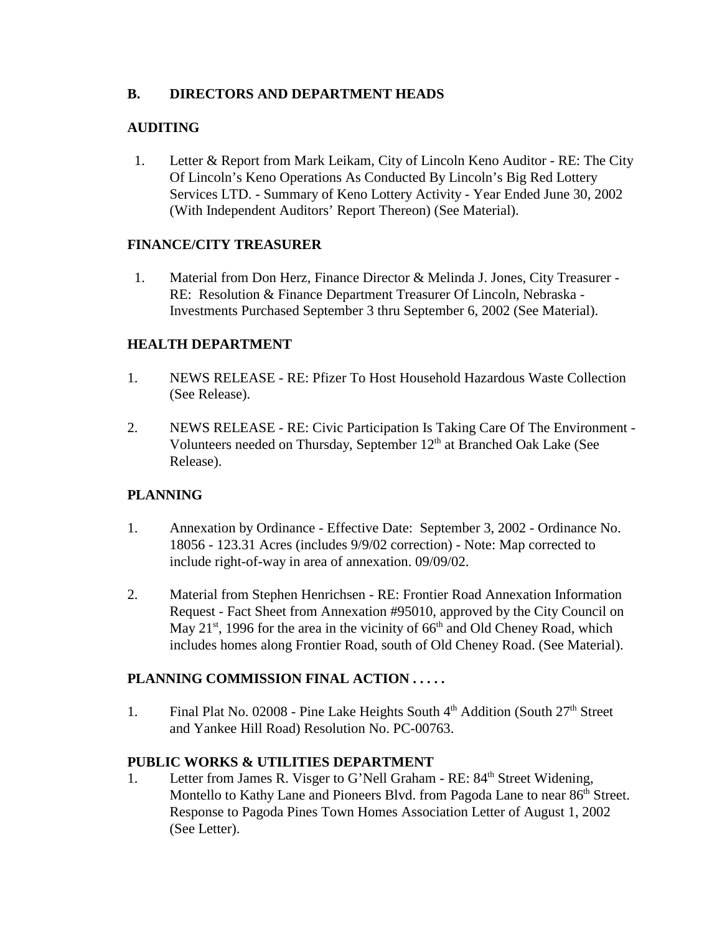### **B. DIRECTORS AND DEPARTMENT HEADS**

### **AUDITING**

 1. Letter & Report from Mark Leikam, City of Lincoln Keno Auditor - RE: The City Of Lincoln's Keno Operations As Conducted By Lincoln's Big Red Lottery Services LTD. - Summary of Keno Lottery Activity - Year Ended June 30, 2002 (With Independent Auditors' Report Thereon) (See Material).

#### **FINANCE/CITY TREASURER**

 1. Material from Don Herz, Finance Director & Melinda J. Jones, City Treasurer - RE: Resolution & Finance Department Treasurer Of Lincoln, Nebraska - Investments Purchased September 3 thru September 6, 2002 (See Material).

### **HEALTH DEPARTMENT**

- 1. NEWS RELEASE RE: Pfizer To Host Household Hazardous Waste Collection (See Release).
- 2. NEWS RELEASE RE: Civic Participation Is Taking Care Of The Environment Volunteers needed on Thursday, September 12<sup>th</sup> at Branched Oak Lake (See Release).

#### **PLANNING**

- 1. Annexation by Ordinance Effective Date: September 3, 2002 Ordinance No. 18056 - 123.31 Acres (includes 9/9/02 correction) - Note: Map corrected to include right-of-way in area of annexation. 09/09/02.
- 2. Material from Stephen Henrichsen RE: Frontier Road Annexation Information Request - Fact Sheet from Annexation #95010, approved by the City Council on May  $21^{st}$ , 1996 for the area in the vicinity of 66<sup>th</sup> and Old Cheney Road, which includes homes along Frontier Road, south of Old Cheney Road. (See Material).

### **PLANNING COMMISSION FINAL ACTION . . . . .**

1. Final Plat No. 02008 - Pine Lake Heights South 4<sup>th</sup> Addition (South 27<sup>th</sup> Street and Yankee Hill Road) Resolution No. PC-00763.

### **PUBLIC WORKS & UTILITIES DEPARTMENT**

1. Letter from James R. Visger to G'Nell Graham - RE: 84<sup>th</sup> Street Widening. Montello to Kathy Lane and Pioneers Blvd. from Pagoda Lane to near 86<sup>th</sup> Street. Response to Pagoda Pines Town Homes Association Letter of August 1, 2002 (See Letter).